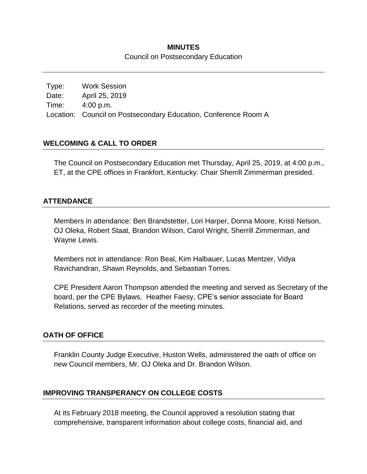## **MINUTES** Council on Postsecondary Education

Type: Work Session Date: April 25, 2019 Time: 4:00 p.m. Location: Council on Postsecondary Education, Conference Room A

## **WELCOMING & CALL TO ORDER**

The Council on Postsecondary Education met Thursday, April 25, 2019, at 4:00 p.m., ET, at the CPE offices in Frankfort, Kentucky. Chair Sherrill Zimmerman presided.

## **ATTENDANCE**

Members in attendance: Ben Brandstetter, Lori Harper, Donna Moore, Kristi Nelson, OJ Oleka, Robert Staat, Brandon Wilson, Carol Wright, Sherrill Zimmerman, and Wayne Lewis.

Members not in attendance: Ron Beal, Kim Halbauer, Lucas Mentzer, Vidya Ravichandran, Shawn Reynolds, and Sebastian Torres.

CPE President Aaron Thompson attended the meeting and served as Secretary of the board, per the CPE Bylaws. Heather Faesy, CPE's senior associate for Board Relations, served as recorder of the meeting minutes.

## **OATH OF OFFICE**

Franklin County Judge Executive, Huston Wells, administered the oath of office on new Council members, Mr. OJ Oleka and Dr. Brandon Wilson.

# **IMPROVING TRANSPERANCY ON COLLEGE COSTS**

At its February 2018 meeting, the Council approved a resolution stating that comprehensive, transparent information about college costs, financial aid, and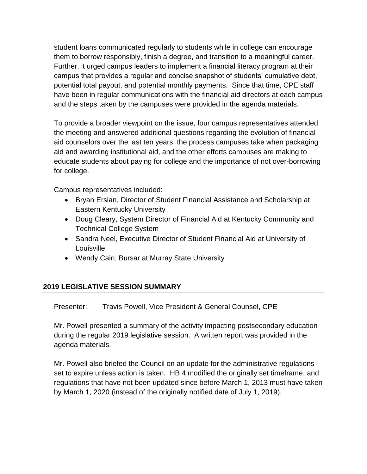student loans communicated regularly to students while in college can encourage them to borrow responsibly, finish a degree, and transition to a meaningful career. Further, it urged campus leaders to implement a financial literacy program at their campus that provides a regular and concise snapshot of students' cumulative debt, potential total payout, and potential monthly payments. Since that time, CPE staff have been in regular communications with the financial aid directors at each campus and the steps taken by the campuses were provided in the agenda materials.

To provide a broader viewpoint on the issue, four campus representatives attended the meeting and answered additional questions regarding the evolution of financial aid counselors over the last ten years, the process campuses take when packaging aid and awarding institutional aid, and the other efforts campuses are making to educate students about paying for college and the importance of not over-borrowing for college.

Campus representatives included:

- Bryan Erslan, Director of Student Financial Assistance and Scholarship at Eastern Kentucky University
- Doug Cleary, System Director of Financial Aid at Kentucky Community and Technical College System
- Sandra Neel, Executive Director of Student Financial Aid at University of Louisville
- Wendy Cain, Bursar at Murray State University

## **2019 LEGISLATIVE SESSION SUMMARY**

Presenter: Travis Powell, Vice President & General Counsel, CPE

Mr. Powell presented a summary of the activity impacting postsecondary education during the regular 2019 legislative session. A written report was provided in the agenda materials.

Mr. Powell also briefed the Council on an update for the administrative regulations set to expire unless action is taken. HB 4 modified the originally set timeframe, and regulations that have not been updated since before March 1, 2013 must have taken by March 1, 2020 (instead of the originally notified date of July 1, 2019).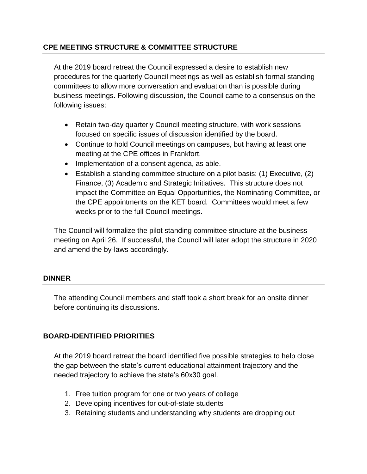## **CPE MEETING STRUCTURE & COMMITTEE STRUCTURE**

At the 2019 board retreat the Council expressed a desire to establish new procedures for the quarterly Council meetings as well as establish formal standing committees to allow more conversation and evaluation than is possible during business meetings. Following discussion, the Council came to a consensus on the following issues:

- Retain two-day quarterly Council meeting structure, with work sessions focused on specific issues of discussion identified by the board.
- Continue to hold Council meetings on campuses, but having at least one meeting at the CPE offices in Frankfort.
- Implementation of a consent agenda, as able.
- Establish a standing committee structure on a pilot basis: (1) Executive, (2) Finance, (3) Academic and Strategic Initiatives. This structure does not impact the Committee on Equal Opportunities, the Nominating Committee, or the CPE appointments on the KET board. Committees would meet a few weeks prior to the full Council meetings.

The Council will formalize the pilot standing committee structure at the business meeting on April 26. If successful, the Council will later adopt the structure in 2020 and amend the by-laws accordingly.

## **DINNER**

The attending Council members and staff took a short break for an onsite dinner before continuing its discussions.

# **BOARD-IDENTIFIED PRIORITIES**

At the 2019 board retreat the board identified five possible strategies to help close the gap between the state's current educational attainment trajectory and the needed trajectory to achieve the state's 60x30 goal.

- 1. Free tuition program for one or two years of college
- 2. Developing incentives for out-of-state students
- 3. Retaining students and understanding why students are dropping out